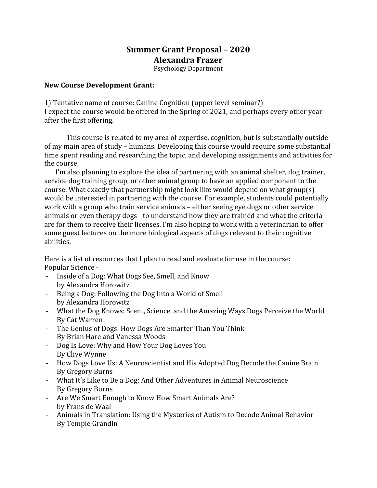## **Summer Grant Proposal – 2020 Alexandra Frazer**

Psychology Department

## **New Course Development Grant:**

1) Tentative name of course: Canine Cognition (upper level seminar?) I expect the course would be offered in the Spring of 2021, and perhaps every other year after the first offering.

This course is related to my area of expertise, cognition, but is substantially outside of my main area of study – humans. Developing this course would require some substantial time spent reading and researching the topic, and developing assignments and activities for the course.

I'm also planning to explore the idea of partnering with an animal shelter, dog trainer, service dog training group, or other animal group to have an applied component to the course. What exactly that partnership might look like would depend on what group(s) would be interested in partnering with the course. For example, students could potentially work with a group who train service animals – either seeing eye dogs or other service animals or even therapy dogs - to understand how they are trained and what the criteria are for them to receive their licenses. I'm also hoping to work with a veterinarian to offer some guest lectures on the more biological aspects of dogs relevant to their cognitive abilities.

Here is a list of resources that I plan to read and evaluate for use in the course: Popular Science -

- Inside of a Dog: What Dogs See, Smell, and Know by Alexandra Horowitz
- Being a Dog: Following the Dog Into a World of Smell by Alexandra Horowitz
- What the Dog Knows: Scent, Science, and the Amazing Ways Dogs Perceive the World By Cat Warren
- The Genius of Dogs: How Dogs Are Smarter Than You Think By Brian Hare and Vanessa Woods
- Dog Is Love: Why and How Your Dog Loves You By Clive Wynne
- How Dogs Love Us: A Neuroscientist and His Adopted Dog Decode the Canine Brain By Gregory Burns
- What It's Like to Be a Dog: And Other Adventures in Animal Neuroscience By Gregory Burns
- Are We Smart Enough to Know How Smart Animals Are? by Frans de Waal
- Animals in Translation: Using the Mysteries of Autism to Decode Animal Behavior By Temple Grandin